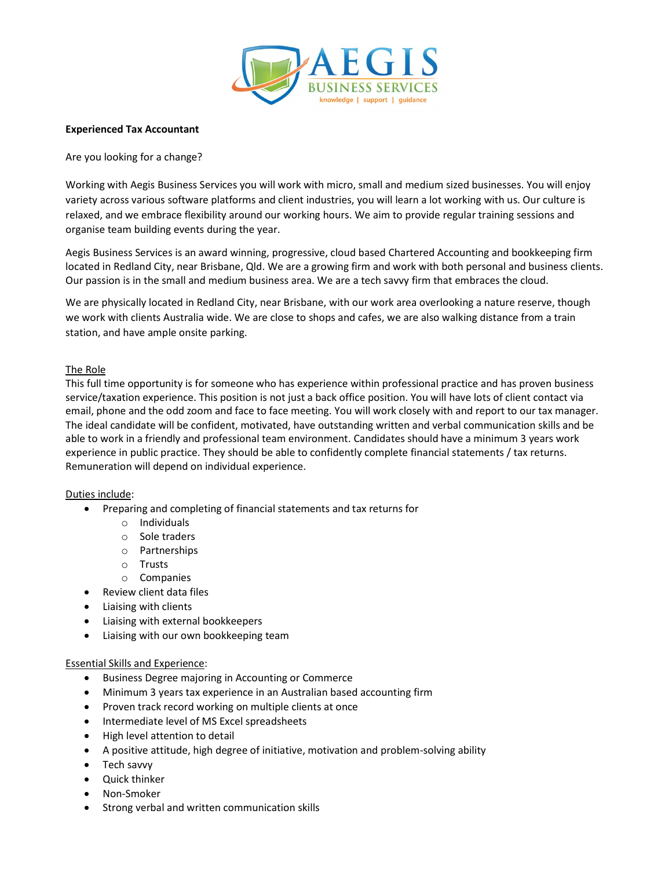

# Experienced Tax Accountant

# Are you looking for a change?

Working with Aegis Business Services you will work with micro, small and medium sized businesses. You will enjoy variety across various software platforms and client industries, you will learn a lot working with us. Our culture is relaxed, and we embrace flexibility around our working hours. We aim to provide regular training sessions and organise team building events during the year.

Aegis Business Services is an award winning, progressive, cloud based Chartered Accounting and bookkeeping firm located in Redland City, near Brisbane, Qld. We are a growing firm and work with both personal and business clients. Our passion is in the small and medium business area. We are a tech savvy firm that embraces the cloud.

We are physically located in Redland City, near Brisbane, with our work area overlooking a nature reserve, though we work with clients Australia wide. We are close to shops and cafes, we are also walking distance from a train station, and have ample onsite parking.

# The Role

This full time opportunity is for someone who has experience within professional practice and has proven business service/taxation experience. This position is not just a back office position. You will have lots of client contact via email, phone and the odd zoom and face to face meeting. You will work closely with and report to our tax manager. The ideal candidate will be confident, motivated, have outstanding written and verbal communication skills and be able to work in a friendly and professional team environment. Candidates should have a minimum 3 years work experience in public practice. They should be able to confidently complete financial statements / tax returns. Remuneration will depend on individual experience.

## Duties include:

- Preparing and completing of financial statements and tax returns for
	- o Individuals
	- o Sole traders
	- o Partnerships
	- o Trusts
	- o Companies
- Review client data files
- Liaising with clients
- Liaising with external bookkeepers
- Liaising with our own bookkeeping team

# Essential Skills and Experience:

- Business Degree majoring in Accounting or Commerce
- Minimum 3 years tax experience in an Australian based accounting firm
- Proven track record working on multiple clients at once
- Intermediate level of MS Excel spreadsheets
- High level attention to detail
- A positive attitude, high degree of initiative, motivation and problem-solving ability
- Tech savvy
- Quick thinker
- Non-Smoker
- Strong verbal and written communication skills